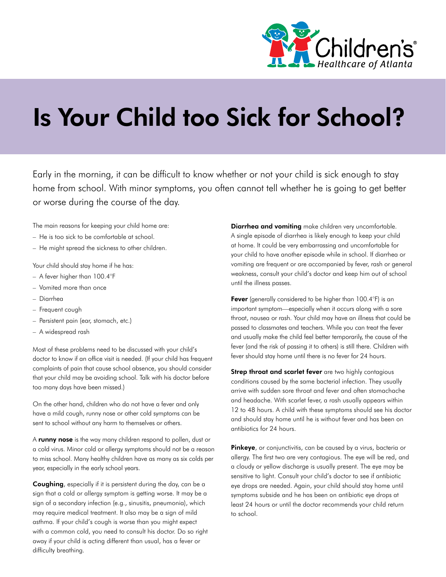

## Is Your Child too Sick for School?

Early in the morning, it can be difficult to know whether or not your child is sick enough to stay home from school. With minor symptoms, you often cannot tell whether he is going to get better or worse during the course of the day.

The main reasons for keeping your child home are:

- He is too sick to be comfortable at school.
- He might spread the sickness to other children.

Your child should stay home if he has:

- A fever higher than 100.4°F
- Vomited more than once
- Diarrhea
- Frequent cough
- Persistent pain (ear, stomach, etc.)
- A widespread rash

Most of these problems need to be discussed with your child's doctor to know if an office visit is needed. (If your child has frequent complaints of pain that cause school absence, you should consider that your child may be avoiding school. Talk with his doctor before too many days have been missed.)

On the other hand, children who do not have a fever and only have a mild cough, runny nose or other cold symptoms can be sent to school without any harm to themselves or others.

A runny nose is the way many children respond to pollen, dust or a cold virus. Minor cold or allergy symptoms should not be a reason to miss school. Many healthy children have as many as six colds per year, especially in the early school years.

Coughing, especially if it is persistent during the day, can be a sign that a cold or allergy symptom is getting worse. It may be a sign of a secondary infection (e.g., sinusitis, pneumonia), which may require medical treatment. It also may be a sign of mild asthma. If your child's cough is worse than you might expect with a common cold, you need to consult his doctor. Do so right away if your child is acting different than usual, has a fever or difficulty breathing.

Diarrhea and vomiting make children very uncomfortable. A single episode of diarrhea is likely enough to keep your child at home. It could be very embarrassing and uncomfortable for your child to have another episode while in school. If diarrhea or vomiting are frequent or are accompanied by fever, rash or general weakness, consult your child's doctor and keep him out of school until the illness passes.

Fever (generally considered to be higher than 100.4°F) is an important symptom—especially when it occurs along with a sore throat, nausea or rash. Your child may have an illness that could be passed to classmates and teachers. While you can treat the fever and usually make the child feel better temporarily, the cause of the fever (and the risk of passing it to others) is still there. Children with fever should stay home until there is no fever for 24 hours.

Strep throat and scarlet fever are two highly contagious conditions caused by the same bacterial infection. They usually arrive with sudden sore throat and fever and often stomachache and headache. With scarlet fever, a rash usually appears within 12 to 48 hours. A child with these symptoms should see his doctor and should stay home until he is without fever and has been on antibiotics for 24 hours.

Pinkeye, or conjunctivitis, can be caused by a virus, bacteria or allergy. The first two are very contagious. The eye will be red, and a cloudy or yellow discharge is usually present. The eye may be sensitive to light. Consult your child's doctor to see if antibiotic eye drops are needed. Again, your child should stay home until symptoms subside and he has been on antibiotic eye drops at least 24 hours or until the doctor recommends your child return to school.